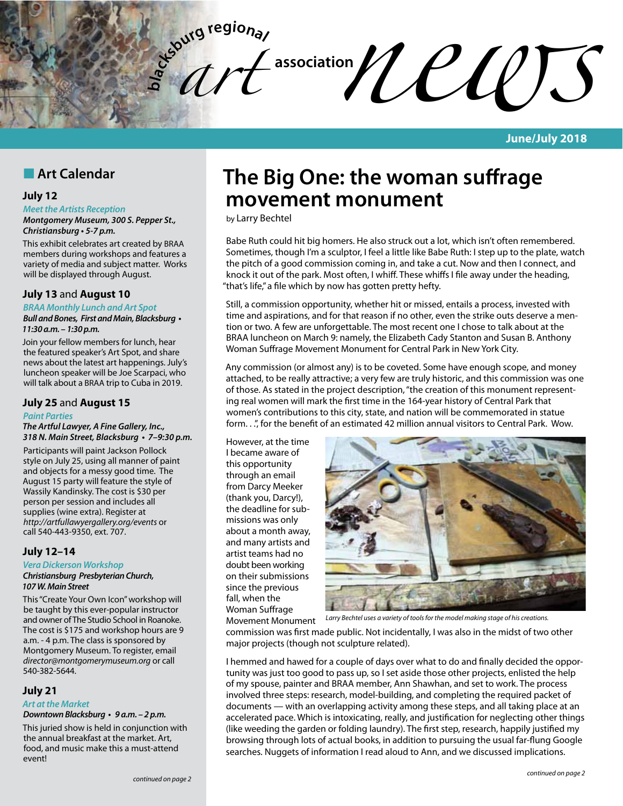

**June/July 2018**

## **n** Art Calendar

### **July 12**

#### *Meet the Artists Reception*

*Montgomery Museum, 300 S. Pepper St.,*  **Christiansburg • 5-7 p.m.**

This exhibit celebrates art created by BRAA members during workshops and features a variety of media and subject matter. Works will be displayed through August.

### **July 13** and **August 10**

*BRAA Monthly Lunch and Art Spot*

**Bull and Bones, First and Main, Blacksburg •**  *11:30 a.m. – 1:30 p.m.*

Join your fellow members for lunch, hear the featured speaker's Art Spot, and share news about the latest art happenings. July's luncheon speaker will be Joe Scarpaci, who will talk about a BRAA trip to Cuba in 2019.

### **July 25** and **August 15**

#### *Paint Parties*

*The Artful Lawyer, A Fine Gallery, Inc.,*  **318 N. Main Street, Blacksburg • 7–9:30 p.m.**

Participants will paint Jackson Pollock style on July 25, using all manner of paint and objects for a messy good time. The August 15 party will feature the style of Wassily Kandinsky. The cost is \$30 per person per session and includes all supplies (wine extra). Register at *http://artfullawyergallery.org/events* or call 540-443-9350, ext. 707.

### **July 12–14**

#### *Vera Dickerson Workshop Christiansburg Presbyterian Church,*  **107 W. Main Street**

This "Create Your Own Icon" workshop will be taught by this ever-popular instructor and owner of The Studio School in Roanoke. The cost is \$175 and workshop hours are 9 a.m. - 4 p.m. The class is sponsored by Montgomery Museum. To register, email *director@montgomerymuseum.org* or call 540-382-5644.

### **July 21**

### *Art at the Market*

**Downtown Blacksburg • 9 a.m. – 2 p.m.**

This juried show is held in conjunction with the annual breakfast at the market. Art, food, and music make this a must-attend event!

# **The Big One: the woman suffrage movement monument**

by Larry Bechtel

Babe Ruth could hit big homers. He also struck out a lot, which isn't often remembered. Sometimes, though I'm a sculptor, I feel a little like Babe Ruth: I step up to the plate, watch the pitch of a good commission coming in, and take a cut. Now and then I connect, and knock it out of the park. Most often, I whiff. These whiffs I file away under the heading, "that's life," a file which by now has gotten pretty hefty.

Still, a commission opportunity, whether hit or missed, entails a process, invested with time and aspirations, and for that reason if no other, even the strike outs deserve a mention or two. A few are unforgettable. The most recent one I chose to talk about at the BRAA luncheon on March 9: namely, the Elizabeth Cady Stanton and Susan B. Anthony Woman Suffrage Movement Monument for Central Park in New York City.

Any commission (or almost any) is to be coveted. Some have enough scope, and money attached, to be really attractive; a very few are truly historic, and this commission was one of those. As stated in the project description, "the creation of this monument representing real women will mark the first time in the 164-year history of Central Park that women's contributions to this city, state, and nation will be commemorated in statue form. . .", for the benefit of an estimated 42 million annual visitors to Central Park. Wow.

However, at the time I became aware of this opportunity through an email from Darcy Meeker (thank you, Darcy!), the deadline for submissions was only about a month away, and many artists and artist teams had no doubt been working on their submissions since the previous fall, when the Woman Suffrage Movement Monument



*Larry Bechtel uses a variety of tools for the model making stage of his creations.*

commission was first made public. Not incidentally, I was also in the midst of two other major projects (though not sculpture related).

I hemmed and hawed for a couple of days over what to do and finally decided the opportunity was just too good to pass up, so I set aside those other projects, enlisted the help of my spouse, painter and BRAA member, Ann Shawhan, and set to work. The process involved three steps: research, model-building, and completing the required packet of documents — with an overlapping activity among these steps, and all taking place at an accelerated pace. Which is intoxicating, really, and justification for neglecting other things (like weeding the garden or folding laundry). The first step, research, happily justified my browsing through lots of actual books, in addition to pursuing the usual far-flung Google searches. Nuggets of information I read aloud to Ann, and we discussed implications.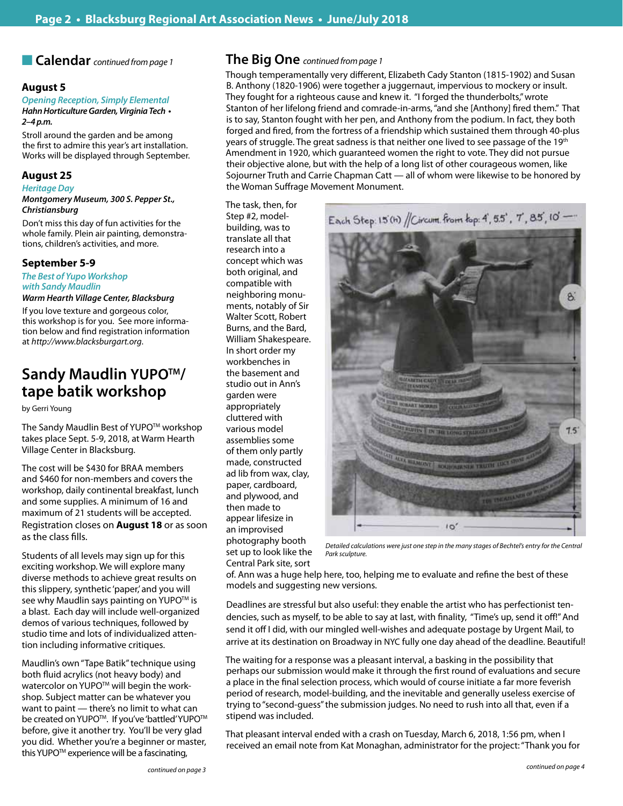### **August 5**

### *Opening Reception, Simply Elemental* **Hahn Horticulture Garden, Virginia Tech •**

**2–4 p.m.**

Stroll around the garden and be among the first to admire this year's art installation. Works will be displayed through September.

### **August 25**

### *Heritage Day*

*Montgomery Museum, 300 S. Pepper St., Christiansburg*

Don't miss this day of fun activities for the whole family. Plein air painting, demonstrations, children's activities, and more.

### **September 5-9**

*The Best of Yupo Workshop with Sandy Maudlin Warm Hearth Village Center, Blacksburg*

If you love texture and gorgeous color, this workshop is for you. See more information below and find registration information at *http://www.blacksburgart.org*.

# **Sandy Maudlin YUPO™/ tape batik workshop**

by Gerri Young

The Sandy Maudlin Best of YUPO™ workshop takes place Sept. 5-9, 2018, at Warm Hearth Village Center in Blacksburg.

The cost will be \$430 for BRAA members and \$460 for non-members and covers the workshop, daily continental breakfast, lunch and some supplies. A minimum of 16 and maximum of 21 students will be accepted. Registration closes on **August 18** or as soon as the class fills.

Students of all levels may sign up for this exciting workshop. We will explore many diverse methods to achieve great results on this slippery, synthetic 'paper,' and you will see why Maudlin says painting on YUPO™ is a blast. Each day will include well-organized demos of various techniques, followed by studio time and lots of individualized attention including informative critiques.

Maudlin's own "Tape Batik" technique using both fluid acrylics (not heavy body) and watercolor on YUPO<sup>™</sup> will begin the workshop. Subject matter can be whatever you want to paint — there's no limit to what can be created on YUPO™. If you've 'battled' YUPO™ before, give it another try. You'll be very glad you did. Whether you're a beginner or master, this YUPO<sup>™</sup> experience will be a fascinating,

### n **Calendar** *continued from page 1* **The Big One** *continued from page 1*

The task, then, for Step #2, modelbuilding, was to translate all that research into a concept which was both original, and compatible with neighboring monuments, notably of Sir Walter Scott, Robert Burns, and the Bard, William Shakespeare. In short order my workbenches in the basement and studio out in Ann's garden were appropriately cluttered with various model assemblies some of them only partly made, constructed ad lib from wax, clay, paper, cardboard, and plywood, and then made to appear lifesize in an improvised

Though temperamentally very different, Elizabeth Cady Stanton (1815-1902) and Susan B. Anthony (1820-1906) were together a juggernaut, impervious to mockery or insult. They fought for a righteous cause and knew it. "I forged the thunderbolts," wrote Stanton of her lifelong friend and comrade-in-arms, "and she [Anthony] fired them." That is to say, Stanton fought with her pen, and Anthony from the podium. In fact, they both forged and fired, from the fortress of a friendship which sustained them through 40-plus years of struggle. The great sadness is that neither one lived to see passage of the 19th Amendment in 1920, which guaranteed women the right to vote. They did not pursue their objective alone, but with the help of a long list of other courageous women, like Sojourner Truth and Carrie Chapman Catt — all of whom were likewise to be honored by the Woman Suffrage Movement Monument.

Each Step: 15(h) // Circum. from kop: 4, 55', 7', 85', 10'-



photography booth set up to look like the Central Park site, sort *Park sculpture.*

*Detailed calculations were just one step in the many stages of Bechtel's entry for the Central* 

of. Ann was a huge help here, too, helping me to evaluate and refine the best of these models and suggesting new versions.

Deadlines are stressful but also useful: they enable the artist who has perfectionist tendencies, such as myself, to be able to say at last, with finality, "Time's up, send it off!" And send it off I did, with our mingled well-wishes and adequate postage by Urgent Mail, to arrive at its destination on Broadway in NYC fully one day ahead of the deadline. Beautiful!

The waiting for a response was a pleasant interval, a basking in the possibility that perhaps our submission would make it through the first round of evaluations and secure a place in the final selection process, which would of course initiate a far more feverish period of research, model-building, and the inevitable and generally useless exercise of trying to "second-guess" the submission judges. No need to rush into all that, even if a stipend was included.

That pleasant interval ended with a crash on Tuesday, March 6, 2018, 1:56 pm, when I received an email note from Kat Monaghan, administrator for the project: "Thank you for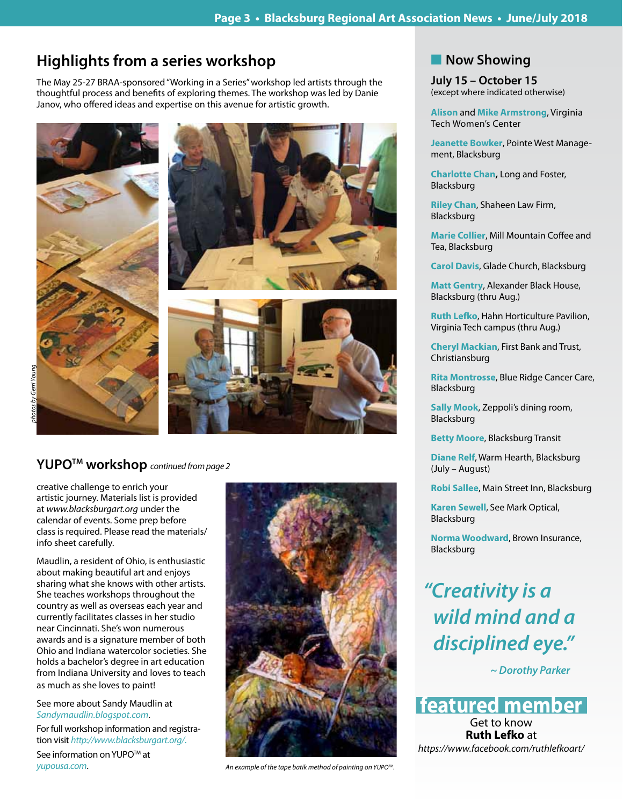# **Highlights from a series workshop**

The May 25-27 BRAA-sponsored "Working in a Series" workshop led artists through the thoughtful process and benefits of exploring themes. The workshop was led by Danie Janov, who offered ideas and expertise on this avenue for artistic growth.



# **YUPOTM workshop** *continued from page 2*

creative challenge to enrich your artistic journey. Materials list is provided at *www.blacksburgart.org* under the calendar of events. Some prep before class is required. Please read the materials/ info sheet carefully.

Maudlin, a resident of Ohio, is enthusiastic about making beautiful art and enjoys sharing what she knows with other artists. She teaches workshops throughout the country as well as overseas each year and currently facilitates classes in her studio near Cincinnati. She's won numerous awards and is a signature member of both Ohio and Indiana watercolor societies. She holds a bachelor's degree in art education from Indiana University and loves to teach as much as she loves to paint!

See more about Sandy Maudlin at *Sandymaudlin.blogspot.com*.

For full workshop information and registration visit *http://www.blacksburgart.org/*.

See information on YUPO™ at *yupousa.com*.



*An example of the tape batik method of painting on YUPOTM.*

## **Now Showing**

**July 15 – October 15** (except where indicated otherwise)

**Alison** and **Mike Armstrong**, Virginia Tech Women's Center

**Jeanette Bowker**, Pointe West Management, Blacksburg

**Charlotte Chan,** Long and Foster, Blacksburg

**Riley Chan**, Shaheen Law Firm, Blacksburg

**Marie Collier**, Mill Mountain Coffee and Tea, Blacksburg

**Carol Davis**, Glade Church, Blacksburg

**Matt Gentry**, Alexander Black House, Blacksburg (thru Aug.)

**Ruth Lefko**, Hahn Horticulture Pavilion, Virginia Tech campus (thru Aug.)

**Cheryl Mackian**, First Bank and Trust, Christiansburg

**Rita Montrosse**, Blue Ridge Cancer Care, Blacksburg

**Sally Mook**, Zeppoli's dining room, Blacksburg

**Betty Moore**, Blacksburg Transit

**Diane Relf**, Warm Hearth, Blacksburg (July – August)

**Robi Sallee**, Main Street Inn, Blacksburg

**Karen Sewell**, See Mark Optical, Blacksburg

**Norma Woodward**, Brown Insurance, Blacksburg

*"Creativity is a wild mind and a disciplined eye."*

 *~ Dorothy Parker*

**featured member**

Get to know **Ruth Lefko** at *https://www.facebook.com/ruthlefkoart/*